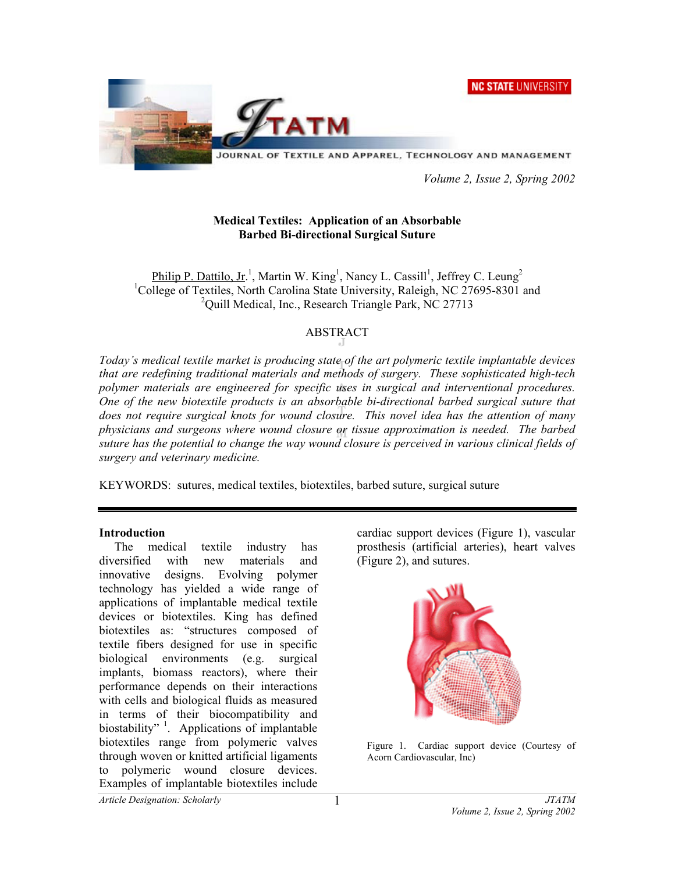**NC STATE UNIVERSITY** 



 *Volume 2, Issue 2, Spring 2002* 

# **Medical Textiles: Application of an Absorbable Barbed Bi-directional Surgical Suture**

Philip P. Dattilo, Jr.<sup>1</sup>, Martin W. King<sup>1</sup>, Nancy L. Cassill<sup>1</sup>, Jeffrey C. Leung<sup>2</sup> <sup>1</sup>College of Textiles, North Carolina State University, Raleigh, NC 27695-8301 and <sup>2</sup>Quill Medical, Inc., Research Triangle Park, NC 27713

# ABSTRACT

*Today's medical textile market is producing state of the art polymeric textile implantable devices that are redefining traditional materials and methods of surgery. These sophisticated high-tech polymer materials are engineered for specific uses in surgical and interventional procedures. One of the new biotextile products is an absorbable bi-directional barbed surgical suture that does not require surgical knots for wound closure. This novel idea has the attention of many physicians and surgeons where wound closure or tissue approximation is needed. The barbed suture has the potential to change the way wound closure is perceived in various clinical fields of surgery and veterinary medicine.* 

KEYWORDS: sutures, medical textiles, biotextiles, barbed suture, surgical suture

## **Introduction**

 The medical textile industry has diversified with new materials and innovative designs. Evolving polymer technology has yielded a wide range of applications of implantable medical textile devices or biotextiles. King has defined biotextiles as: "structures composed of textile fibers designed for use in specific biological environments (e.g. surgical implants, biomass reactors), where their performance depends on their interactions with cells and biological fluids as measured in terms of their biocompatibility and biostability"  $\frac{1}{1}$ . Applications of implantable biotextiles range from polymeric valves through woven or knitted artificial ligaments to polymeric wound closure devices. Examples of implantable biotextiles include

cardiac support devices (Figure 1), vascular prosthesis (artificial arteries), heart valves (Figure 2), and sutures.



Figure 1. Cardiac support device (Courtesy of Acorn Cardiovascular, Inc)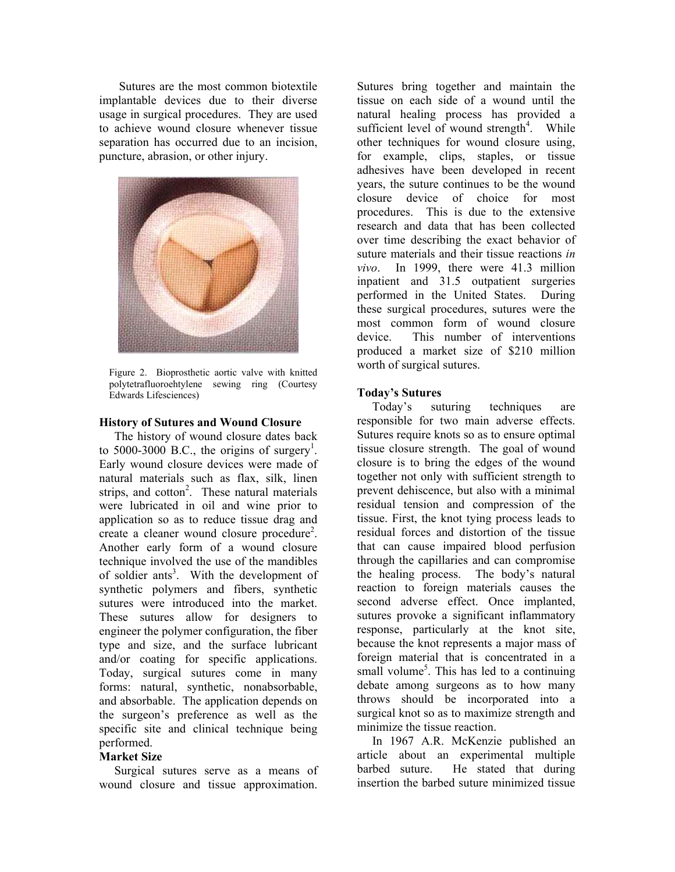Sutures are the most common biotextile implantable devices due to their diverse usage in surgical procedures. They are used to achieve wound closure whenever tissue separation has occurred due to an incision, puncture, abrasion, or other injury.



Figure 2. Bioprosthetic aortic valve with knitted polytetrafluoroehtylene sewing ring (Courtesy Edwards Lifesciences)

#### **History of Sutures and Wound Closure**

 The history of wound closure dates back to 5000-3000 B.C., the origins of surgery<sup>1</sup>. Early wound closure devices were made of natural materials such as flax, silk, linen strips, and cotton<sup>2</sup>. These natural materials were lubricated in oil and wine prior to application so as to reduce tissue drag and create a cleaner wound closure procedure<sup>2</sup>. Another early form of a wound closure technique involved the use of the mandibles of soldier ants<sup>3</sup>. With the development of synthetic polymers and fibers, synthetic sutures were introduced into the market. These sutures allow for designers to engineer the polymer configuration, the fiber type and size, and the surface lubricant and/or coating for specific applications. Today, surgical sutures come in many forms: natural, synthetic, nonabsorbable, and absorbable. The application depends on the surgeon's preference as well as the specific site and clinical technique being performed.

### **Market Size**

 Surgical sutures serve as a means of wound closure and tissue approximation.

Sutures bring together and maintain the tissue on each side of a wound until the natural healing process has provided a sufficient level of wound strength<sup>4</sup>. While other techniques for wound closure using, for example, clips, staples, or tissue adhesives have been developed in recent years, the suture continues to be the wound closure device of choice for most procedures. This is due to the extensive research and data that has been collected over time describing the exact behavior of suture materials and their tissue reactions *in vivo*. In 1999, there were 41.3 million inpatient and 31.5 outpatient surgeries performed in the United States. During these surgical procedures, sutures were the most common form of wound closure device. This number of interventions produced a market size of \$210 million worth of surgical sutures.

#### **Today's Sutures**

 Today's suturing techniques are responsible for two main adverse effects. Sutures require knots so as to ensure optimal tissue closure strength. The goal of wound closure is to bring the edges of the wound together not only with sufficient strength to prevent dehiscence, but also with a minimal residual tension and compression of the tissue. First, the knot tying process leads to residual forces and distortion of the tissue that can cause impaired blood perfusion through the capillaries and can compromise the healing process. The body's natural reaction to foreign materials causes the second adverse effect. Once implanted, sutures provoke a significant inflammatory response, particularly at the knot site, because the knot represents a major mass of foreign material that is concentrated in a small volume<sup>5</sup>. This has led to a continuing debate among surgeons as to how many throws should be incorporated into a surgical knot so as to maximize strength and minimize the tissue reaction.

 In 1967 A.R. McKenzie published an article about an experimental multiple barbed suture. He stated that during insertion the barbed suture minimized tissue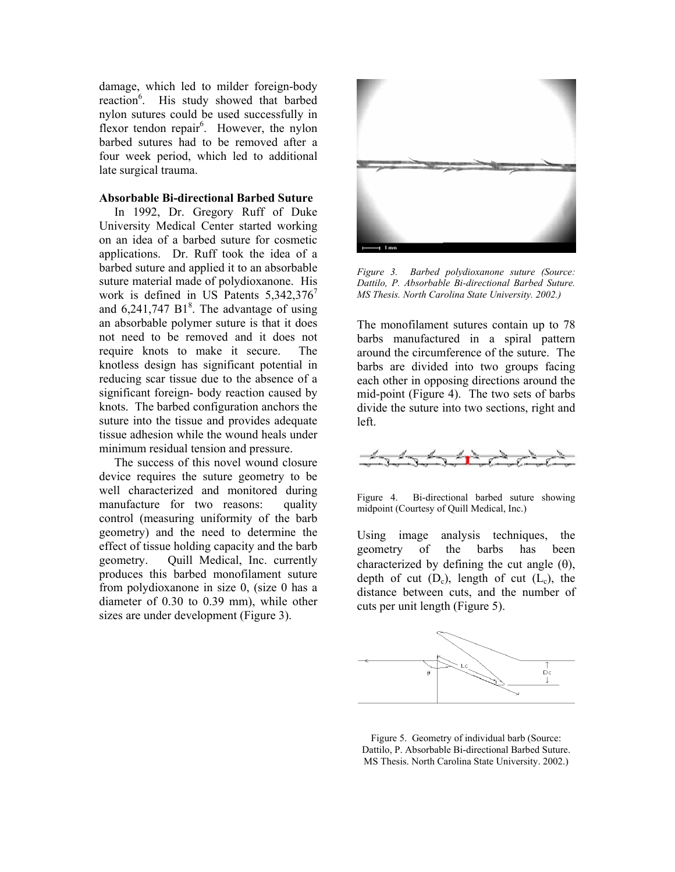damage, which led to milder foreign-body reaction<sup>6</sup>. His study showed that barbed nylon sutures could be used successfully in flexor tendon repair<sup>6</sup>. However, the nylon barbed sutures had to be removed after a four week period, which led to additional late surgical trauma.

#### **Absorbable Bi-directional Barbed Suture**

 In 1992, Dr. Gregory Ruff of Duke University Medical Center started working on an idea of a barbed suture for cosmetic applications. Dr. Ruff took the idea of a barbed suture and applied it to an absorbable suture material made of polydioxanone. His work is defined in US Patents  $5,342,376$ <sup>7</sup> and  $6,241,747$  B1<sup>8</sup>. The advantage of using an absorbable polymer suture is that it does not need to be removed and it does not require knots to make it secure. The knotless design has significant potential in reducing scar tissue due to the absence of a significant foreign- body reaction caused by knots. The barbed configuration anchors the suture into the tissue and provides adequate tissue adhesion while the wound heals under minimum residual tension and pressure.

 The success of this novel wound closure device requires the suture geometry to be well characterized and monitored during manufacture for two reasons: quality control (measuring uniformity of the barb geometry) and the need to determine the effect of tissue holding capacity and the barb geometry. Quill Medical, Inc. currently produces this barbed monofilament suture from polydioxanone in size 0, (size 0 has a diameter of 0.30 to 0.39 mm), while other sizes are under development (Figure 3).



*Figure 3. Barbed polydioxanone suture (Source: Dattilo, P. Absorbable Bi-directional Barbed Suture. MS Thesis. North Carolina State University. 2002.)* 

The monofilament sutures contain up to 78 barbs manufactured in a spiral pattern around the circumference of the suture. The barbs are divided into two groups facing each other in opposing directions around the mid-point (Figure 4). The two sets of barbs divide the suture into two sections, right and left.



Figure 4. Bi-directional barbed suture showing midpoint (Courtesy of Quill Medical, Inc.)

Using image analysis techniques, the geometry of the barbs has been characterized by defining the cut angle  $(\theta)$ , depth of cut  $(D_c)$ , length of cut  $(L_c)$ , the distance between cuts, and the number of cuts per unit length (Figure 5).



Figure 5. Geometry of individual barb (Source: Dattilo, P. Absorbable Bi-directional Barbed Suture. MS Thesis. North Carolina State University. 2002.)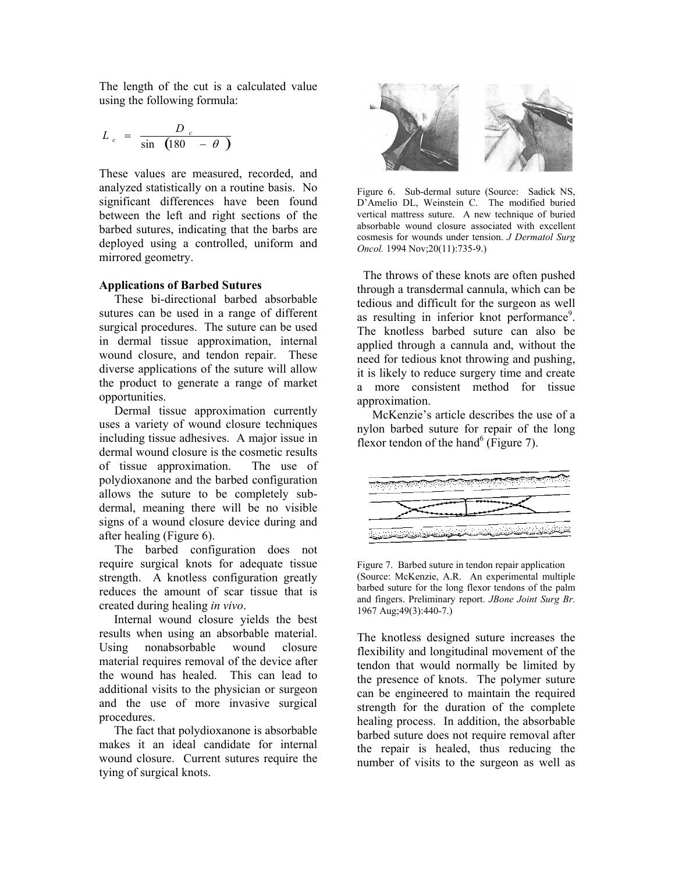The length of the cut is a calculated value using the following formula:

$$
L_c = \frac{D_c}{\sin \left(180 - \theta \right)}
$$

These values are measured, recorded, and analyzed statistically on a routine basis. No significant differences have been found between the left and right sections of the barbed sutures, indicating that the barbs are deployed using a controlled, uniform and mirrored geometry.

### **Applications of Barbed Sutures**

 These bi-directional barbed absorbable sutures can be used in a range of different surgical procedures. The suture can be used in dermal tissue approximation, internal wound closure, and tendon repair. These diverse applications of the suture will allow the product to generate a range of market opportunities.

 Dermal tissue approximation currently uses a variety of wound closure techniques including tissue adhesives. A major issue in dermal wound closure is the cosmetic results of tissue approximation. The use of polydioxanone and the barbed configuration allows the suture to be completely subdermal, meaning there will be no visible signs of a wound closure device during and after healing (Figure 6).

 The barbed configuration does not require surgical knots for adequate tissue strength. A knotless configuration greatly reduces the amount of scar tissue that is created during healing *in vivo*.

Internal wound closure yields the best results when using an absorbable material. Using nonabsorbable wound closure material requires removal of the device after the wound has healed. This can lead to additional visits to the physician or surgeon and the use of more invasive surgical procedures.

The fact that polydioxanone is absorbable makes it an ideal candidate for internal wound closure. Current sutures require the tying of surgical knots.



Figure 6. Sub-dermal suture (Source: Sadick NS, D'Amelio DL, Weinstein C. The modified buried vertical mattress suture. A new technique of buried absorbable wound closure associated with excellent cosmesis for wounds under tension. *J Dermatol Surg Oncol.* 1994 Nov;20(11):735-9.)

 The throws of these knots are often pushed through a transdermal cannula, which can be tedious and difficult for the surgeon as well as resulting in inferior knot performance<sup>9</sup>. The knotless barbed suture can also be applied through a cannula and, without the need for tedious knot throwing and pushing, it is likely to reduce surgery time and create a more consistent method for tissue approximation.

 McKenzie's article describes the use of a nylon barbed suture for repair of the long flexor tendon of the hand<sup>6</sup> (Figure 7).



Figure 7. Barbed suture in tendon repair application (Source: McKenzie, A.R. An experimental multiple barbed suture for the long flexor tendons of the palm and fingers. Preliminary report. *JBone Joint Surg Br*. 1967 Aug;49(3):440-7.)

The knotless designed suture increases the flexibility and longitudinal movement of the tendon that would normally be limited by the presence of knots. The polymer suture can be engineered to maintain the required strength for the duration of the complete healing process. In addition, the absorbable barbed suture does not require removal after the repair is healed, thus reducing the number of visits to the surgeon as well as